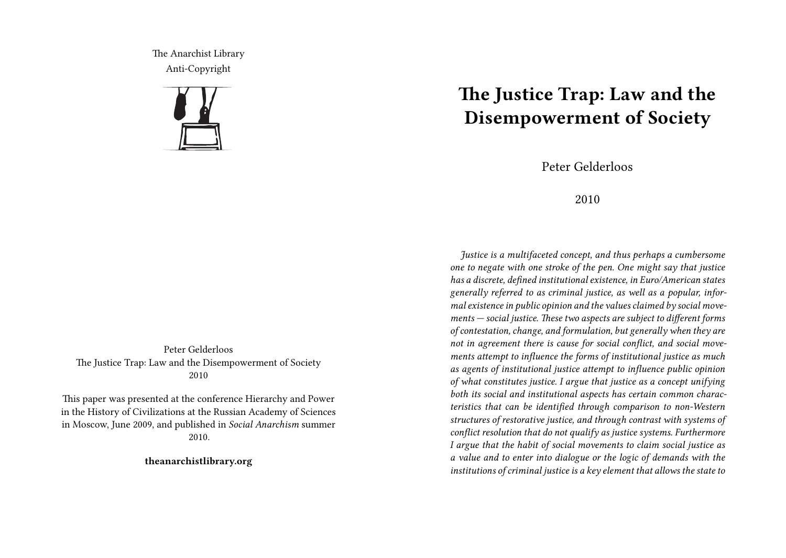The Anarchist Library Anti-Copyright



Peter Gelderloos The Justice Trap: Law and the Disempowerment of Society 2010

This paper was presented at the conference Hierarchy and Power in the History of Civilizations at the Russian Academy of Sciences in Moscow, June 2009, and published in *Social Anarchism* summer 2010.

**theanarchistlibrary.org**

## **The Justice Trap: Law and the Disempowerment of Society**

Peter Gelderloos

## 2010

*Justice is a multifaceted concept, and thus perhaps a cumbersome one to negate with one stroke of the pen. One might say that justice has a discrete, defined institutional existence, in Euro/American states generally referred to as criminal justice, as well as a popular, informal existence in public opinion and the values claimed by social movements — social justice. These two aspects are subject to different forms of contestation, change, and formulation, but generally when they are not in agreement there is cause for social conflict, and social movements attempt to influence the forms of institutional justice as much as agents of institutional justice attempt to influence public opinion of what constitutes justice. I argue that justice as a concept unifying both its social and institutional aspects has certain common characteristics that can be identified through comparison to non-Western structures of restorative justice, and through contrast with systems of conflict resolution that do not qualify as justice systems. Furthermore I argue that the habit of social movements to claim social justice as a value and to enter into dialogue or the logic of demands with the institutions of criminal justice is a key element that allows the state to*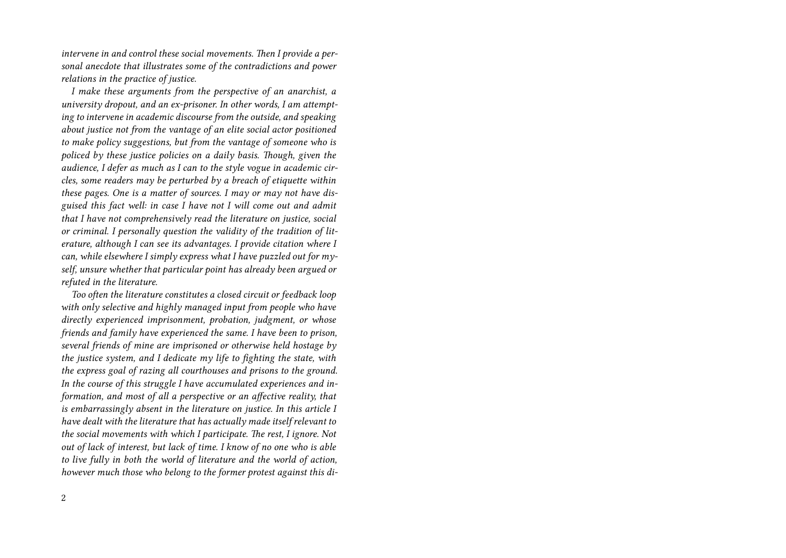*intervene in and control these social movements. Then I provide a personal anecdote that illustrates some of the contradictions and power relations in the practice of justice.*

*I make these arguments from the perspective of an anarchist, a university dropout, and an ex-prisoner. In other words, I am attempting to intervene in academic discourse from the outside, and speaking about justice not from the vantage of an elite social actor positioned to make policy suggestions, but from the vantage of someone who is policed by these justice policies on a daily basis. Though, given the audience, I defer as much as I can to the style vogue in academic circles, some readers may be perturbed by a breach of etiquette within these pages. One is a matter of sources. I may or may not have disguised this fact well: in case I have not I will come out and admit that I have not comprehensively read the literature on justice, social or criminal. I personally question the validity of the tradition of literature, although I can see its advantages. I provide citation where I can, while elsewhere I simply express what I have puzzled out for myself, unsure whether that particular point has already been argued or refuted in the literature.*

*Too often the literature constitutes a closed circuit or feedback loop with only selective and highly managed input from people who have directly experienced imprisonment, probation, judgment, or whose friends and family have experienced the same. I have been to prison, several friends of mine are imprisoned or otherwise held hostage by the justice system, and I dedicate my life to fighting the state, with the express goal of razing all courthouses and prisons to the ground. In the course of this struggle I have accumulated experiences and information, and most of all a perspective or an affective reality, that is embarrassingly absent in the literature on justice. In this article I have dealt with the literature that has actually made itself relevant to the social movements with which I participate. The rest, I ignore. Not out of lack of interest, but lack of time. I know of no one who is able to live fully in both the world of literature and the world of action, however much those who belong to the former protest against this di-*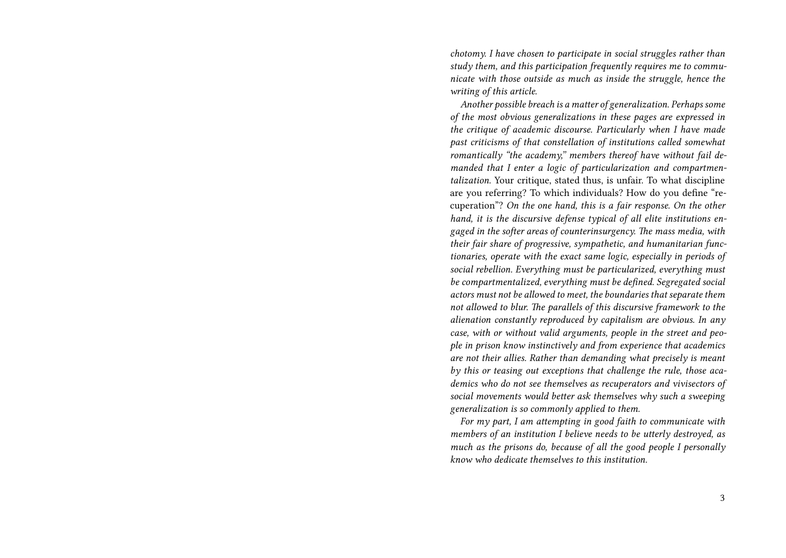*chotomy. I have chosen to participate in social struggles rather than study them, and this participation frequently requires me to communicate with those outside as much as inside the struggle, hence the writing of this article.*

*Another possible breach is a matter of generalization. Perhaps some of the most obvious generalizations in these pages are expressed in the critique of academic discourse. Particularly when I have made past criticisms of that constellation of institutions called somewhat romantically "the academy," members thereof have without fail demanded that I enter a logic of particularization and compartmentalization.* Your critique, stated thus, is unfair. To what discipline are you referring? To which individuals? How do you define "recuperation"? *On the one hand, this is a fair response. On the other hand, it is the discursive defense typical of all elite institutions engaged in the softer areas of counterinsurgency. The mass media, with their fair share of progressive, sympathetic, and humanitarian functionaries, operate with the exact same logic, especially in periods of social rebellion. Everything must be particularized, everything must be compartmentalized, everything must be defined. Segregated social actors must not be allowed to meet, the boundaries that separate them not allowed to blur. The parallels of this discursive framework to the alienation constantly reproduced by capitalism are obvious. In any case, with or without valid arguments, people in the street and people in prison know instinctively and from experience that academics are not their allies. Rather than demanding what precisely is meant by this or teasing out exceptions that challenge the rule, those academics who do not see themselves as recuperators and vivisectors of social movements would better ask themselves why such a sweeping generalization is so commonly applied to them.*

*For my part, I am attempting in good faith to communicate with members of an institution I believe needs to be utterly destroyed, as much as the prisons do, because of all the good people I personally know who dedicate themselves to this institution.*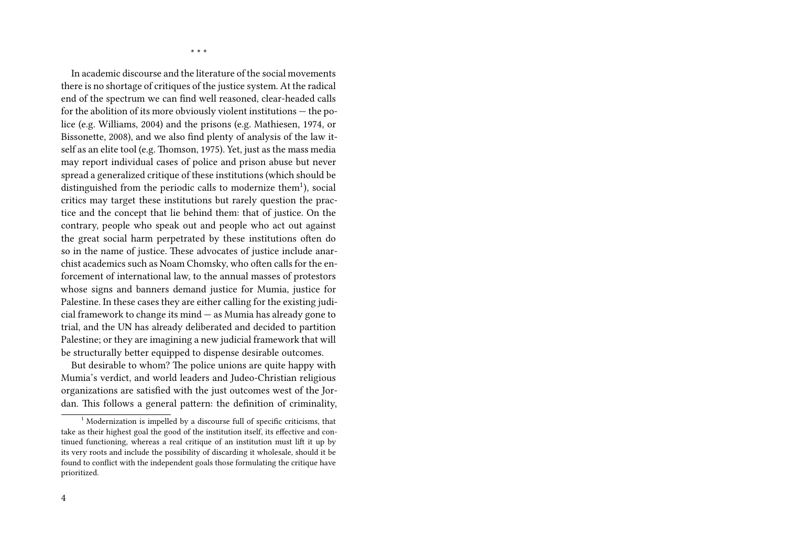\* \* \*

In academic discourse and the literature of the social movements there is no shortage of critiques of the justice system. At the radical end of the spectrum we can find well reasoned, clear-headed calls for the abolition of its more obviously violent institutions — the police (e.g. Williams, 2004) and the prisons (e.g. Mathiesen, 1974, or Bissonette, 2008), and we also find plenty of analysis of the law itself as an elite tool (e.g. Thomson, 1975). Yet, just as the mass media may report individual cases of police and prison abuse but never spread a generalized critique of these institutions (which should be distinguished from the periodic calls to modernize them<sup>1</sup>), social critics may target these institutions but rarely question the practice and the concept that lie behind them: that of justice. On the contrary, people who speak out and people who act out against the great social harm perpetrated by these institutions often do so in the name of justice. These advocates of justice include anarchist academics such as Noam Chomsky, who often calls for the enforcement of international law, to the annual masses of protestors whose signs and banners demand justice for Mumia, justice for Palestine. In these cases they are either calling for the existing judicial framework to change its mind — as Mumia has already gone to trial, and the UN has already deliberated and decided to partition Palestine; or they are imagining a new judicial framework that will be structurally better equipped to dispense desirable outcomes.

But desirable to whom? The police unions are quite happy with Mumia's verdict, and world leaders and Judeo-Christian religious organizations are satisfied with the just outcomes west of the Jordan. This follows a general pattern: the definition of criminality,

<sup>&</sup>lt;sup>1</sup> Modernization is impelled by a discourse full of specific criticisms, that take as their highest goal the good of the institution itself, its effective and continued functioning, whereas a real critique of an institution must lift it up by its very roots and include the possibility of discarding it wholesale, should it be found to conflict with the independent goals those formulating the critique have prioritized.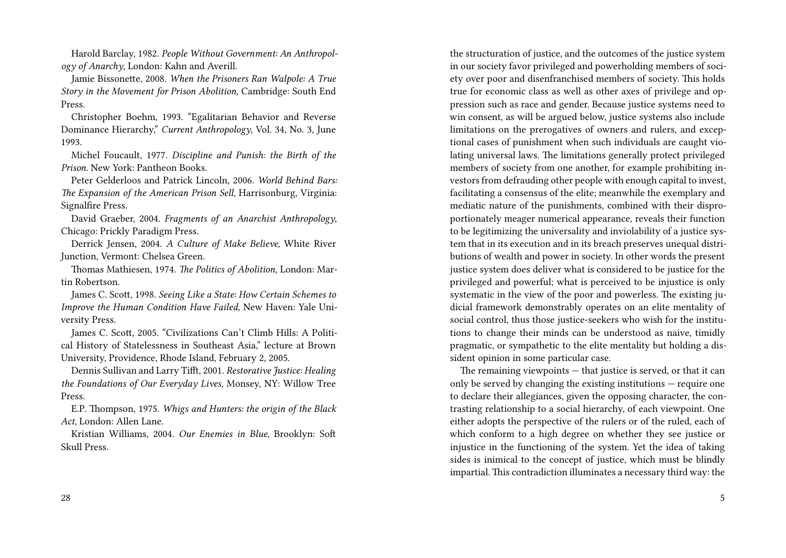Harold Barclay, 1982. *People Without Government: An Anthropology of Anarchy*, London: Kahn and Averill.

Jamie Bissonette, 2008. *When the Prisoners Ran Walpole: A True Story in the Movement for Prison Abolition,* Cambridge: South End Press.

Christopher Boehm, 1993. "Egalitarian Behavior and Reverse Dominance Hierarchy," *Current Anthropology*, Vol. 34, No. 3, June 1993.

Michel Foucault, 1977. *Discipline and Punish: the Birth of the Prison.* New York: Pantheon Books.

Peter Gelderloos and Patrick Lincoln, 2006. *World Behind Bars: The Expansion of the American Prison Sell,* Harrisonburg, Virginia: Signalfire Press.

David Graeber, 2004. *Fragments of an Anarchist Anthropology*, Chicago: Prickly Paradigm Press.

Derrick Jensen, 2004. *A Culture of Make Believe,* White River Junction, Vermont: Chelsea Green.

Thomas Mathiesen, 1974. *The Politics of Abolition,* London: Martin Robertson.

James C. Scott, 1998. *Seeing Like a State: How Certain Schemes to Improve the Human Condition Have Failed,* New Haven: Yale University Press.

James C. Scott, 2005. "Civilizations Can't Climb Hills: A Political History of Statelessness in Southeast Asia," lecture at Brown University, Providence, Rhode Island, February 2, 2005.

Dennis Sullivan and Larry Tifft, 2001. *Restorative Justice: Healing the Foundations of Our Everyday Lives,* Monsey, NY: Willow Tree Press.

E.P. Thompson, 1975. *Whigs and Hunters: the origin of the Black Act,* London: Allen Lane.

Kristian Williams, 2004. *Our Enemies in Blue,* Brooklyn: Soft Skull Press.

in our society favor privileged and powerholding members of society over poor and disenfranchised members of society. This holds true for economic class as well as other axes of privilege and oppression such as race and gender. Because justice systems need to win consent, as will be argued below, justice systems also include limitations on the prerogatives of owners and rulers, and exceptional cases of punishment when such individuals are caught violating universal laws. The limitations generally protect privileged members of society from one another, for example prohibiting investors from defrauding other people with enough capital to invest, facilitating a consensus of the elite; meanwhile the exemplary and mediatic nature of the punishments, combined with their disproportionately meager numerical appearance, reveals their function to be legitimizing the universality and inviolability of a justice system that in its execution and in its breach preserves unequal distributions of wealth and power in society. In other words the present justice system does deliver what is considered to be justice for the privileged and powerful; what is perceived to be injustice is only systematic in the view of the poor and powerless. The existing judicial framework demonstrably operates on an elite mentality of social control, thus those justice-seekers who wish for the institutions to change their minds can be understood as naive, timidly pragmatic, or sympathetic to the elite mentality but holding a dissident opinion in some particular case. The remaining viewpoints  $-$  that justice is served, or that it can

the structuration of justice, and the outcomes of the justice system

only be served by changing the existing institutions — require one to declare their allegiances, given the opposing character, the contrasting relationship to a social hierarchy, of each viewpoint. One either adopts the perspective of the rulers or of the ruled, each of which conform to a high degree on whether they see justice or injustice in the functioning of the system. Yet the idea of taking sides is inimical to the concept of justice, which must be blindly impartial. This contradiction illuminates a necessary third way: the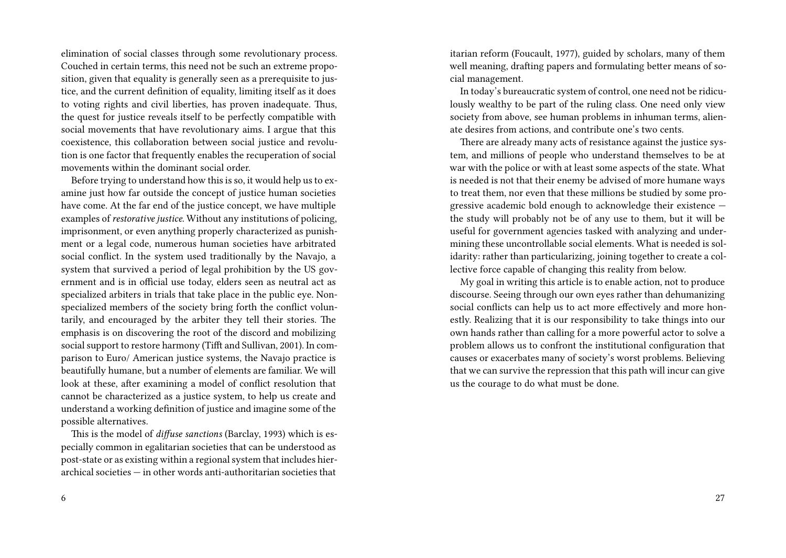elimination of social classes through some revolutionary process. Couched in certain terms, this need not be such an extreme proposition, given that equality is generally seen as a prerequisite to justice, and the current definition of equality, limiting itself as it does to voting rights and civil liberties, has proven inadequate. Thus, the quest for justice reveals itself to be perfectly compatible with social movements that have revolutionary aims. I argue that this coexistence, this collaboration between social justice and revolution is one factor that frequently enables the recuperation of social movements within the dominant social order.

Before trying to understand how this is so, it would help us to examine just how far outside the concept of justice human societies have come. At the far end of the justice concept, we have multiple examples of *restorative justice.* Without any institutions of policing, imprisonment, or even anything properly characterized as punishment or a legal code, numerous human societies have arbitrated social conflict. In the system used traditionally by the Navajo, a system that survived a period of legal prohibition by the US government and is in official use today, elders seen as neutral act as specialized arbiters in trials that take place in the public eye. Nonspecialized members of the society bring forth the conflict voluntarily, and encouraged by the arbiter they tell their stories. The emphasis is on discovering the root of the discord and mobilizing social support to restore harmony (Tifft and Sullivan, 2001). In comparison to Euro/ American justice systems, the Navajo practice is beautifully humane, but a number of elements are familiar. We will look at these, after examining a model of conflict resolution that cannot be characterized as a justice system, to help us create and understand a working definition of justice and imagine some of the possible alternatives.

This is the model of *diffuse sanctions* (Barclay, 1993) which is especially common in egalitarian societies that can be understood as post-state or as existing within a regional system that includes hierarchical societies — in other words anti-authoritarian societies that itarian reform (Foucault, 1977), guided by scholars, many of them well meaning, drafting papers and formulating better means of social management.

In today's bureaucratic system of control, one need not be ridiculously wealthy to be part of the ruling class. One need only view society from above, see human problems in inhuman terms, alienate desires from actions, and contribute one's two cents.

There are already many acts of resistance against the justice system, and millions of people who understand themselves to be at war with the police or with at least some aspects of the state. What is needed is not that their enemy be advised of more humane ways to treat them, nor even that these millions be studied by some progressive academic bold enough to acknowledge their existence the study will probably not be of any use to them, but it will be useful for government agencies tasked with analyzing and undermining these uncontrollable social elements. What is needed is solidarity: rather than particularizing, joining together to create a collective force capable of changing this reality from below.

My goal in writing this article is to enable action, not to produce discourse. Seeing through our own eyes rather than dehumanizing social conflicts can help us to act more effectively and more honestly. Realizing that it is our responsibility to take things into our own hands rather than calling for a more powerful actor to solve a problem allows us to confront the institutional configuration that causes or exacerbates many of society's worst problems. Believing that we can survive the repression that this path will incur can give us the courage to do what must be done.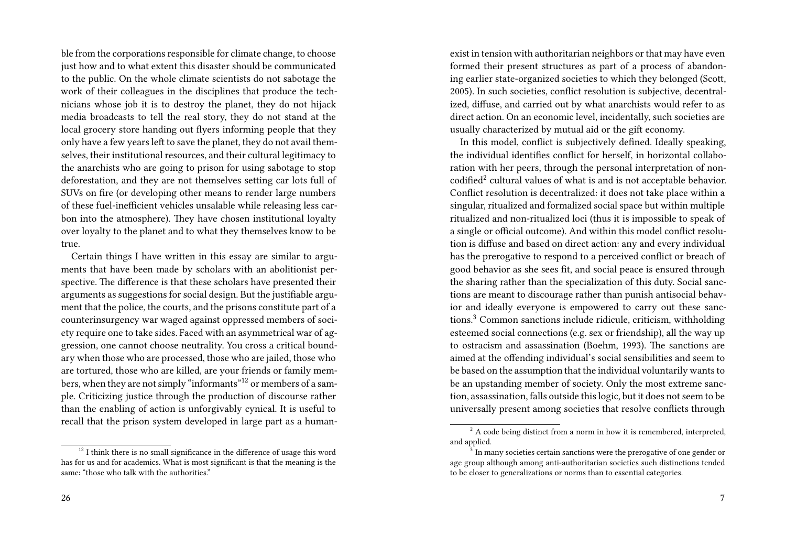ble from the corporations responsible for climate change, to choose just how and to what extent this disaster should be communicated to the public. On the whole climate scientists do not sabotage the work of their colleagues in the disciplines that produce the technicians whose job it is to destroy the planet, they do not hijack media broadcasts to tell the real story, they do not stand at the local grocery store handing out flyers informing people that they only have a few years left to save the planet, they do not avail themselves, their institutional resources, and their cultural legitimacy to the anarchists who are going to prison for using sabotage to stop deforestation, and they are not themselves setting car lots full of SUVs on fire (or developing other means to render large numbers of these fuel-inefficient vehicles unsalable while releasing less carbon into the atmosphere). They have chosen institutional loyalty over loyalty to the planet and to what they themselves know to be true.

Certain things I have written in this essay are similar to arguments that have been made by scholars with an abolitionist perspective. The difference is that these scholars have presented their arguments as suggestions for social design. But the justifiable argument that the police, the courts, and the prisons constitute part of a counterinsurgency war waged against oppressed members of society require one to take sides. Faced with an asymmetrical war of aggression, one cannot choose neutrality. You cross a critical boundary when those who are processed, those who are jailed, those who are tortured, those who are killed, are your friends or family members, when they are not simply "informants"<sup>12</sup> or members of a sample. Criticizing justice through the production of discourse rather than the enabling of action is unforgivably cynical. It is useful to recall that the prison system developed in large part as a human-

 $12$  I think there is no small significance in the difference of usage this word has for us and for academics. What is most significant is that the meaning is the same: "those who talk with the authorities."

exist in tension with authoritarian neighbors or that may have even formed their present structures as part of a process of abandoning earlier state-organized societies to which they belonged (Scott, 2005). In such societies, conflict resolution is subjective, decentralized, diffuse, and carried out by what anarchists would refer to as direct action. On an economic level, incidentally, such societies are usually characterized by mutual aid or the gift economy.

In this model, conflict is subjectively defined. Ideally speaking, the individual identifies conflict for herself, in horizontal collaboration with her peers, through the personal interpretation of noncodified<sup>2</sup> cultural values of what is and is not acceptable behavior. Conflict resolution is decentralized: it does not take place within a singular, ritualized and formalized social space but within multiple ritualized and non-ritualized loci (thus it is impossible to speak of a single or official outcome). And within this model conflict resolution is diffuse and based on direct action: any and every individual has the prerogative to respond to a perceived conflict or breach of good behavior as she sees fit, and social peace is ensured through the sharing rather than the specialization of this duty. Social sanctions are meant to discourage rather than punish antisocial behavior and ideally everyone is empowered to carry out these sanctions.<sup>3</sup> Common sanctions include ridicule, criticism, withholding esteemed social connections (e.g. sex or friendship), all the way up to ostracism and assassination (Boehm, 1993). The sanctions are aimed at the offending individual's social sensibilities and seem to be based on the assumption that the individual voluntarily wants to be an upstanding member of society. Only the most extreme sanction, assassination, falls outside this logic, but it does not seem to be universally present among societies that resolve conflicts through

 $2 A$  code being distinct from a norm in how it is remembered, interpreted, and applied.

<sup>&</sup>lt;sup>3</sup> In many societies certain sanctions were the prerogative of one gender or age group although among anti-authoritarian societies such distinctions tended to be closer to generalizations or norms than to essential categories.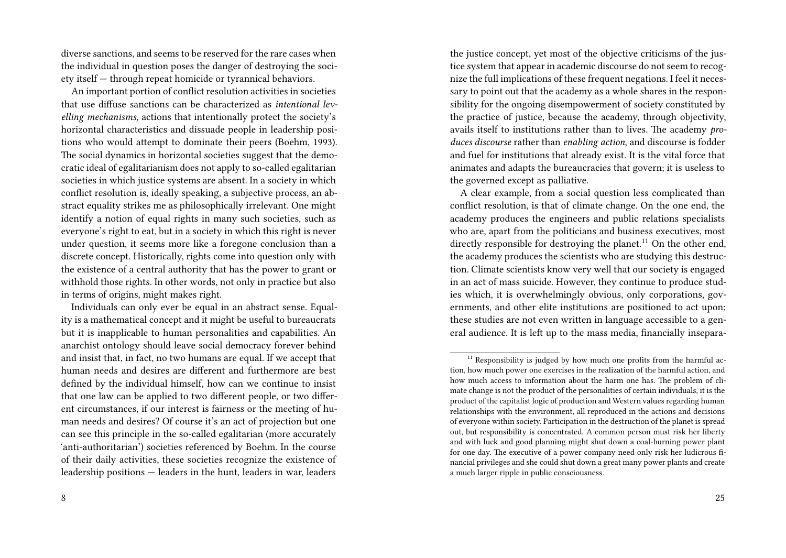diverse sanctions, and seems to be reserved for the rare cases when the individual in question poses the danger of destroying the society itself — through repeat homicide or tyrannical behaviors.

An important portion of conflict resolution activities in societies that use diffuse sanctions can be characterized as *intentional levelling mechanisms,* actions that intentionally protect the society's horizontal characteristics and dissuade people in leadership positions who would attempt to dominate their peers (Boehm, 1993). The social dynamics in horizontal societies suggest that the democratic ideal of egalitarianism does not apply to so-called egalitarian societies in which justice systems are absent. In a society in which conflict resolution is, ideally speaking, a subjective process, an abstract equality strikes me as philosophically irrelevant. One might identify a notion of equal rights in many such societies, such as everyone's right to eat, but in a society in which this right is never under question, it seems more like a foregone conclusion than a discrete concept. Historically, rights come into question only with the existence of a central authority that has the power to grant or withhold those rights. In other words, not only in practice but also in terms of origins, might makes right.

Individuals can only ever be equal in an abstract sense. Equality is a mathematical concept and it might be useful to bureaucrats but it is inapplicable to human personalities and capabilities. An anarchist ontology should leave social democracy forever behind and insist that, in fact, no two humans are equal. If we accept that human needs and desires are different and furthermore are best defined by the individual himself, how can we continue to insist that one law can be applied to two different people, or two different circumstances, if our interest is fairness or the meeting of human needs and desires? Of course it's an act of projection but one can see this principle in the so-called egalitarian (more accurately 'anti-authoritarian') societies referenced by Boehm. In the course of their daily activities, these societies recognize the existence of leadership positions — leaders in the hunt, leaders in war, leaders

the justice concept, yet most of the objective criticisms of the justice system that appear in academic discourse do not seem to recognize the full implications of these frequent negations. I feel it necessary to point out that the academy as a whole shares in the responsibility for the ongoing disempowerment of society constituted by the practice of justice, because the academy, through objectivity, avails itself to institutions rather than to lives. The academy *produces discourse* rather than *enabling action*, and discourse is fodder and fuel for institutions that already exist. It is the vital force that animates and adapts the bureaucracies that govern; it is useless to the governed except as palliative.

A clear example, from a social question less complicated than conflict resolution, is that of climate change. On the one end, the academy produces the engineers and public relations specialists who are, apart from the politicians and business executives, most directly responsible for destroying the planet.<sup>11</sup> On the other end, the academy produces the scientists who are studying this destruction. Climate scientists know very well that our society is engaged in an act of mass suicide. However, they continue to produce studies which, it is overwhelmingly obvious, only corporations, governments, and other elite institutions are positioned to act upon; these studies are not even written in language accessible to a general audience. It is left up to the mass media, financially insepara-

 $11$  Responsibility is judged by how much one profits from the harmful action, how much power one exercises in the realization of the harmful action, and how much access to information about the harm one has. The problem of climate change is not the product of the personalities of certain individuals, it is the product of the capitalist logic of production and Western values regarding human relationships with the environment, all reproduced in the actions and decisions of everyone within society. Participation in the destruction of the planet is spread out, but responsibility is concentrated. A common person must risk her liberty and with luck and good planning might shut down a coal-burning power plant for one day. The executive of a power company need only risk her ludicrous financial privileges and she could shut down a great many power plants and create a much larger ripple in public consciousness.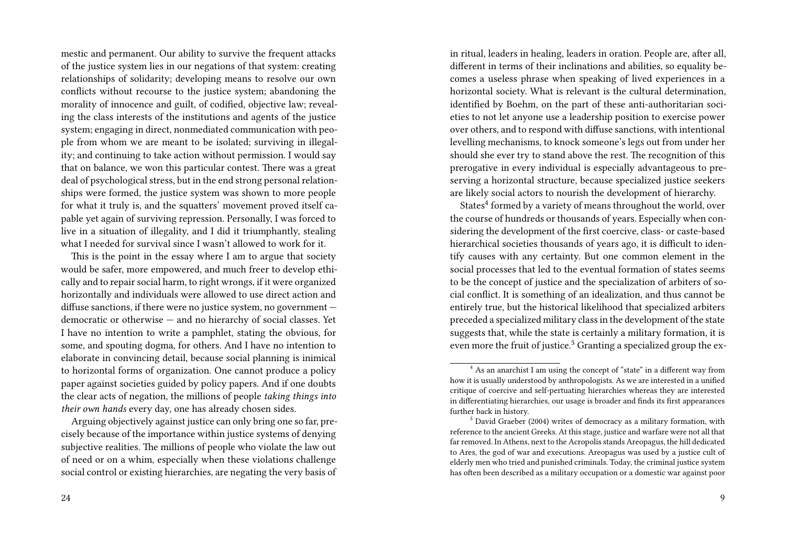mestic and permanent. Our ability to survive the frequent attacks of the justice system lies in our negations of that system: creating relationships of solidarity; developing means to resolve our own conflicts without recourse to the justice system; abandoning the morality of innocence and guilt, of codified, objective law; revealing the class interests of the institutions and agents of the justice system; engaging in direct, nonmediated communication with people from whom we are meant to be isolated; surviving in illegality; and continuing to take action without permission. I would say that on balance, we won this particular contest. There was a great deal of psychological stress, but in the end strong personal relationships were formed, the justice system was shown to more people for what it truly is, and the squatters' movement proved itself capable yet again of surviving repression. Personally, I was forced to live in a situation of illegality, and I did it triumphantly, stealing what I needed for survival since I wasn't allowed to work for it.

This is the point in the essay where I am to argue that society would be safer, more empowered, and much freer to develop ethically and to repair social harm, to right wrongs, if it were organized horizontally and individuals were allowed to use direct action and diffuse sanctions, if there were no justice system, no government democratic or otherwise — and no hierarchy of social classes. Yet I have no intention to write a pamphlet, stating the obvious, for some, and spouting dogma, for others. And I have no intention to elaborate in convincing detail, because social planning is inimical to horizontal forms of organization. One cannot produce a policy paper against societies guided by policy papers. And if one doubts the clear acts of negation, the millions of people *taking things into their own hands* every day, one has already chosen sides.

Arguing objectively against justice can only bring one so far, precisely because of the importance within justice systems of denying subjective realities. The millions of people who violate the law out of need or on a whim, especially when these violations challenge social control or existing hierarchies, are negating the very basis of in ritual, leaders in healing, leaders in oration. People are, after all, different in terms of their inclinations and abilities, so equality becomes a useless phrase when speaking of lived experiences in a horizontal society. What is relevant is the cultural determination, identified by Boehm, on the part of these anti-authoritarian societies to not let anyone use a leadership position to exercise power over others, and to respond with diffuse sanctions, with intentional levelling mechanisms, to knock someone's legs out from under her should she ever try to stand above the rest. The recognition of this prerogative in every individual is especially advantageous to preserving a horizontal structure, because specialized justice seekers are likely social actors to nourish the development of hierarchy.

States<sup>4</sup> formed by a variety of means throughout the world, over the course of hundreds or thousands of years. Especially when considering the development of the first coercive, class- or caste-based hierarchical societies thousands of years ago, it is difficult to identify causes with any certainty. But one common element in the social processes that led to the eventual formation of states seems to be the concept of justice and the specialization of arbiters of social conflict. It is something of an idealization, and thus cannot be entirely true, but the historical likelihood that specialized arbiters preceded a specialized military class in the development of the state suggests that, while the state is certainly a military formation, it is even more the fruit of justice.<sup>5</sup> Granting a specialized group the ex-

<sup>&</sup>lt;sup>4</sup> As an anarchist I am using the concept of "state" in a different way from how it is usually understood by anthropologists. As we are interested in a unified critique of coercive and self-pertuating hierarchies whereas they are interested in differentiating hierarchies, our usage is broader and finds its first appearances further back in history.

<sup>5</sup> David Graeber (2004) writes of democracy as a military formation, with reference to the ancient Greeks. At this stage, justice and warfare were not all that far removed. In Athens, next to the Acropolis stands Areopagus, the hill dedicated to Ares, the god of war and executions. Areopagus was used by a justice cult of elderly men who tried and punished criminals. Today, the criminal justice system has often been described as a military occupation or a domestic war against poor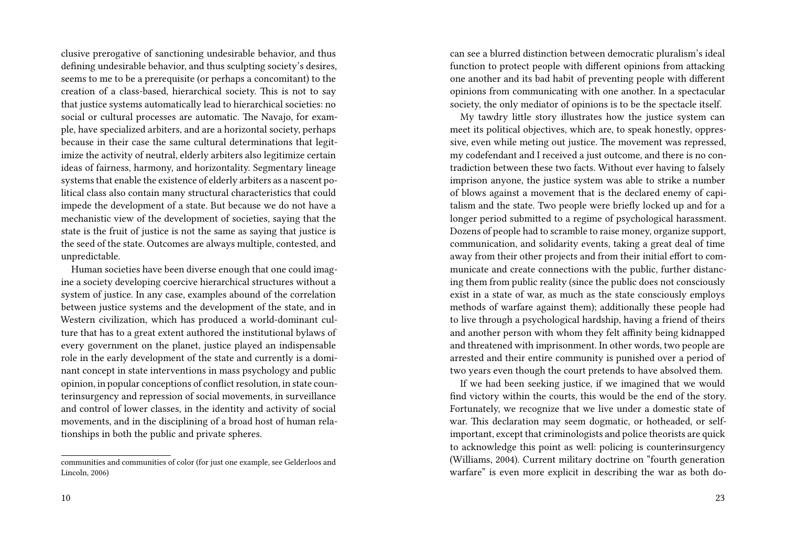clusive prerogative of sanctioning undesirable behavior, and thus defining undesirable behavior, and thus sculpting society's desires, seems to me to be a prerequisite (or perhaps a concomitant) to the creation of a class-based, hierarchical society. This is not to say that justice systems automatically lead to hierarchical societies: no social or cultural processes are automatic. The Navajo, for example, have specialized arbiters, and are a horizontal society, perhaps because in their case the same cultural determinations that legitimize the activity of neutral, elderly arbiters also legitimize certain ideas of fairness, harmony, and horizontality. Segmentary lineage systems that enable the existence of elderly arbiters as a nascent political class also contain many structural characteristics that could impede the development of a state. But because we do not have a mechanistic view of the development of societies, saying that the state is the fruit of justice is not the same as saying that justice is the seed of the state. Outcomes are always multiple, contested, and unpredictable.

Human societies have been diverse enough that one could imagine a society developing coercive hierarchical structures without a system of justice. In any case, examples abound of the correlation between justice systems and the development of the state, and in Western civilization, which has produced a world-dominant culture that has to a great extent authored the institutional bylaws of every government on the planet, justice played an indispensable role in the early development of the state and currently is a dominant concept in state interventions in mass psychology and public opinion, in popular conceptions of conflict resolution, in state counterinsurgency and repression of social movements, in surveillance and control of lower classes, in the identity and activity of social movements, and in the disciplining of a broad host of human relationships in both the public and private spheres.

can see a blurred distinction between democratic pluralism's ideal function to protect people with different opinions from attacking one another and its bad habit of preventing people with different opinions from communicating with one another. In a spectacular society, the only mediator of opinions is to be the spectacle itself.

My tawdry little story illustrates how the justice system can meet its political objectives, which are, to speak honestly, oppressive, even while meting out justice. The movement was repressed, my codefendant and I received a just outcome, and there is no contradiction between these two facts. Without ever having to falsely imprison anyone, the justice system was able to strike a number of blows against a movement that is the declared enemy of capitalism and the state. Two people were briefly locked up and for a longer period submitted to a regime of psychological harassment. Dozens of people had to scramble to raise money, organize support, communication, and solidarity events, taking a great deal of time away from their other projects and from their initial effort to communicate and create connections with the public, further distancing them from public reality (since the public does not consciously exist in a state of war, as much as the state consciously employs methods of warfare against them); additionally these people had to live through a psychological hardship, having a friend of theirs and another person with whom they felt affinity being kidnapped and threatened with imprisonment. In other words, two people are arrested and their entire community is punished over a period of two years even though the court pretends to have absolved them.

If we had been seeking justice, if we imagined that we would find victory within the courts, this would be the end of the story. Fortunately, we recognize that we live under a domestic state of war. This declaration may seem dogmatic, or hotheaded, or selfimportant, except that criminologists and police theorists are quick to acknowledge this point as well: policing is counterinsurgency (Williams, 2004). Current military doctrine on "fourth generation warfare" is even more explicit in describing the war as both do-

communities and communities of color (for just one example, see Gelderloos and Lincoln, 2006)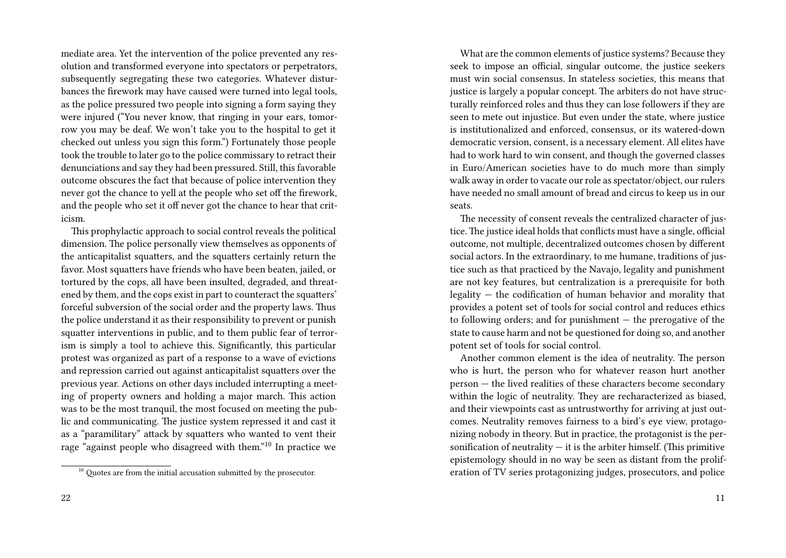mediate area. Yet the intervention of the police prevented any resolution and transformed everyone into spectators or perpetrators, subsequently segregating these two categories. Whatever disturbances the firework may have caused were turned into legal tools, as the police pressured two people into signing a form saying they were injured ("You never know, that ringing in your ears, tomorrow you may be deaf. We won't take you to the hospital to get it checked out unless you sign this form.") Fortunately those people took the trouble to later go to the police commissary to retract their denunciations and say they had been pressured. Still, this favorable outcome obscures the fact that because of police intervention they never got the chance to yell at the people who set off the firework, and the people who set it off never got the chance to hear that criticism.

This prophylactic approach to social control reveals the political dimension. The police personally view themselves as opponents of the anticapitalist squatters, and the squatters certainly return the favor. Most squatters have friends who have been beaten, jailed, or tortured by the cops, all have been insulted, degraded, and threatened by them, and the cops exist in part to counteract the squatters' forceful subversion of the social order and the property laws. Thus the police understand it as their responsibility to prevent or punish squatter interventions in public, and to them public fear of terrorism is simply a tool to achieve this. Significantly, this particular protest was organized as part of a response to a wave of evictions and repression carried out against anticapitalist squatters over the previous year. Actions on other days included interrupting a meeting of property owners and holding a major march. This action was to be the most tranquil, the most focused on meeting the public and communicating. The justice system repressed it and cast it as a "paramilitary" attack by squatters who wanted to vent their rage "against people who disagreed with them."<sup>10</sup> In practice we

What are the common elements of justice systems? Because they seek to impose an official, singular outcome, the justice seekers must win social consensus. In stateless societies, this means that justice is largely a popular concept. The arbiters do not have structurally reinforced roles and thus they can lose followers if they are seen to mete out injustice. But even under the state, where justice is institutionalized and enforced, consensus, or its watered-down democratic version, consent, is a necessary element. All elites have had to work hard to win consent, and though the governed classes in Euro/American societies have to do much more than simply walk away in order to vacate our role as spectator/object, our rulers have needed no small amount of bread and circus to keep us in our seats.

The necessity of consent reveals the centralized character of justice. The justice ideal holds that conflicts must have a single, official outcome, not multiple, decentralized outcomes chosen by different social actors. In the extraordinary, to me humane, traditions of justice such as that practiced by the Navajo, legality and punishment are not key features, but centralization is a prerequisite for both legality — the codification of human behavior and morality that provides a potent set of tools for social control and reduces ethics to following orders; and for punishment — the prerogative of the state to cause harm and not be questioned for doing so, and another potent set of tools for social control.

Another common element is the idea of neutrality. The person who is hurt, the person who for whatever reason hurt another person — the lived realities of these characters become secondary within the logic of neutrality. They are recharacterized as biased, and their viewpoints cast as untrustworthy for arriving at just outcomes. Neutrality removes fairness to a bird's eye view, protagonizing nobody in theory. But in practice, the protagonist is the personification of neutrality  $-$  it is the arbiter himself. (This primitive epistemology should in no way be seen as distant from the proliferation of TV series protagonizing judges, prosecutors, and police

 $^{10}$  Quotes are from the initial accusation submitted by the prosecutor.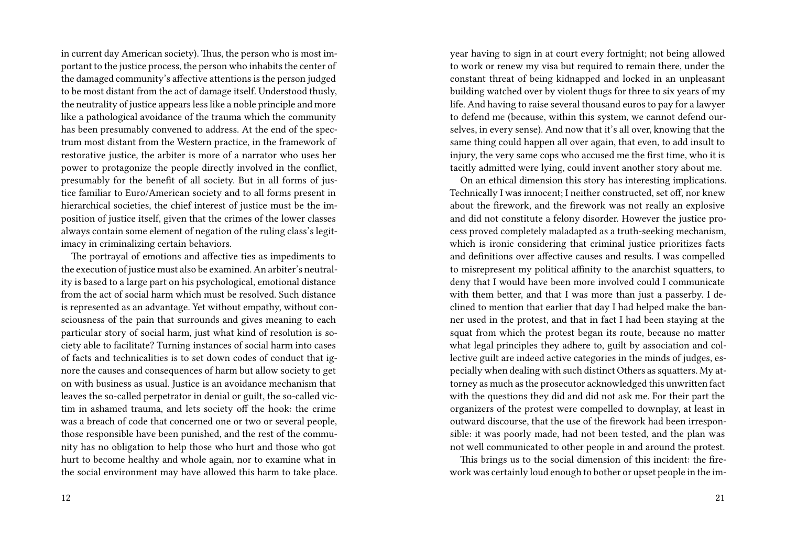in current day American society). Thus, the person who is most important to the justice process, the person who inhabits the center of the damaged community's affective attentions is the person judged to be most distant from the act of damage itself. Understood thusly, the neutrality of justice appears less like a noble principle and more like a pathological avoidance of the trauma which the community has been presumably convened to address. At the end of the spectrum most distant from the Western practice, in the framework of restorative justice, the arbiter is more of a narrator who uses her power to protagonize the people directly involved in the conflict, presumably for the benefit of all society. But in all forms of justice familiar to Euro/American society and to all forms present in hierarchical societies, the chief interest of justice must be the imposition of justice itself, given that the crimes of the lower classes always contain some element of negation of the ruling class's legitimacy in criminalizing certain behaviors.

The portrayal of emotions and affective ties as impediments to the execution of justice must also be examined. An arbiter's neutrality is based to a large part on his psychological, emotional distance from the act of social harm which must be resolved. Such distance is represented as an advantage. Yet without empathy, without consciousness of the pain that surrounds and gives meaning to each particular story of social harm, just what kind of resolution is society able to facilitate? Turning instances of social harm into cases of facts and technicalities is to set down codes of conduct that ignore the causes and consequences of harm but allow society to get on with business as usual. Justice is an avoidance mechanism that leaves the so-called perpetrator in denial or guilt, the so-called victim in ashamed trauma, and lets society off the hook: the crime was a breach of code that concerned one or two or several people, those responsible have been punished, and the rest of the community has no obligation to help those who hurt and those who got hurt to become healthy and whole again, nor to examine what in the social environment may have allowed this harm to take place.

year having to sign in at court every fortnight; not being allowed to work or renew my visa but required to remain there, under the constant threat of being kidnapped and locked in an unpleasant building watched over by violent thugs for three to six years of my life. And having to raise several thousand euros to pay for a lawyer to defend me (because, within this system, we cannot defend ourselves, in every sense). And now that it's all over, knowing that the same thing could happen all over again, that even, to add insult to injury, the very same cops who accused me the first time, who it is tacitly admitted were lying, could invent another story about me.

On an ethical dimension this story has interesting implications. Technically I was innocent; I neither constructed, set off, nor knew about the firework, and the firework was not really an explosive and did not constitute a felony disorder. However the justice process proved completely maladapted as a truth-seeking mechanism, which is ironic considering that criminal justice prioritizes facts and definitions over affective causes and results. I was compelled to misrepresent my political affinity to the anarchist squatters, to deny that I would have been more involved could I communicate with them better, and that I was more than just a passerby. I declined to mention that earlier that day I had helped make the banner used in the protest, and that in fact I had been staying at the squat from which the protest began its route, because no matter what legal principles they adhere to, guilt by association and collective guilt are indeed active categories in the minds of judges, especially when dealing with such distinct Others as squatters. My attorney as much as the prosecutor acknowledged this unwritten fact with the questions they did and did not ask me. For their part the organizers of the protest were compelled to downplay, at least in outward discourse, that the use of the firework had been irresponsible: it was poorly made, had not been tested, and the plan was not well communicated to other people in and around the protest.

This brings us to the social dimension of this incident: the firework was certainly loud enough to bother or upset people in the im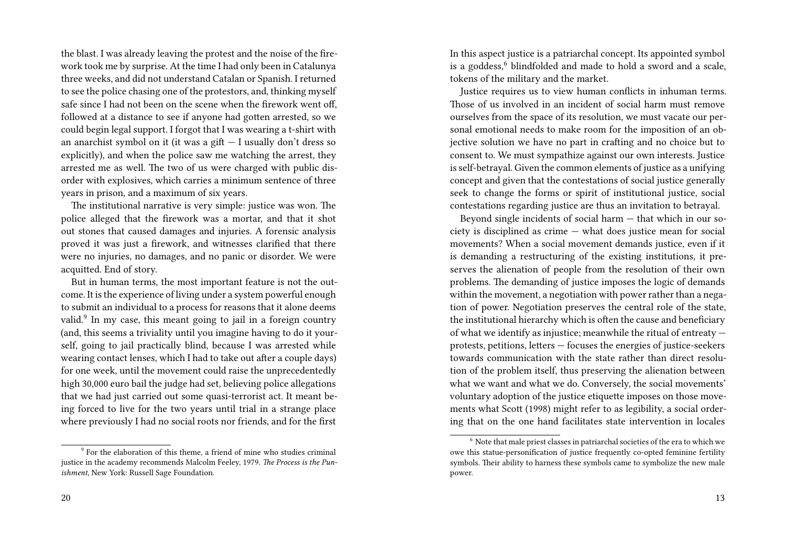the blast. I was already leaving the protest and the noise of the firework took me by surprise. At the time I had only been in Catalunya three weeks, and did not understand Catalan or Spanish. I returned to see the police chasing one of the protestors, and, thinking myself safe since I had not been on the scene when the firework went off, followed at a distance to see if anyone had gotten arrested, so we could begin legal support. I forgot that I was wearing a t-shirt with an anarchist symbol on it (it was a gift — I usually don't dress so explicitly), and when the police saw me watching the arrest, they arrested me as well. The two of us were charged with public disorder with explosives, which carries a minimum sentence of three years in prison, and a maximum of six years.

The institutional narrative is very simple: justice was won. The police alleged that the firework was a mortar, and that it shot out stones that caused damages and injuries. A forensic analysis proved it was just a firework, and witnesses clarified that there were no injuries, no damages, and no panic or disorder. We were acquitted. End of story.

But in human terms, the most important feature is not the outcome. It is the experience of living under a system powerful enough to submit an individual to a process for reasons that it alone deems valid.<sup>9</sup> In my case, this meant going to jail in a foreign country (and, this seems a triviality until you imagine having to do it yourself, going to jail practically blind, because I was arrested while wearing contact lenses, which I had to take out after a couple days) for one week, until the movement could raise the unprecedentedly high 30,000 euro bail the judge had set, believing police allegations that we had just carried out some quasi-terrorist act. It meant being forced to live for the two years until trial in a strange place where previously I had no social roots nor friends, and for the first

<sup>9</sup> For the elaboration of this theme, a friend of mine who studies criminal justice in the academy recommends Malcolm Feeley, 1979. *The Process is the Punishment,* New York: Russell Sage Foundation.

In this aspect justice is a patriarchal concept. Its appointed symbol is a goddess,<sup>6</sup> blindfolded and made to hold a sword and a scale, tokens of the military and the market.

Justice requires us to view human conflicts in inhuman terms. Those of us involved in an incident of social harm must remove ourselves from the space of its resolution, we must vacate our personal emotional needs to make room for the imposition of an objective solution we have no part in crafting and no choice but to consent to. We must sympathize against our own interests. Justice is self-betrayal. Given the common elements of justice as a unifying concept and given that the contestations of social justice generally seek to change the forms or spirit of institutional justice, social contestations regarding justice are thus an invitation to betrayal.

Beyond single incidents of social harm — that which in our society is disciplined as crime — what does justice mean for social movements? When a social movement demands justice, even if it is demanding a restructuring of the existing institutions, it preserves the alienation of people from the resolution of their own problems. The demanding of justice imposes the logic of demands within the movement, a negotiation with power rather than a negation of power. Negotiation preserves the central role of the state, the institutional hierarchy which is often the cause and beneficiary of what we identify as injustice; meanwhile the ritual of entreaty protests, petitions, letters — focuses the energies of justice-seekers towards communication with the state rather than direct resolution of the problem itself, thus preserving the alienation between what we want and what we do. Conversely, the social movements' voluntary adoption of the justice etiquette imposes on those movements what Scott (1998) might refer to as legibility, a social ordering that on the one hand facilitates state intervention in locales

 $6$  Note that male priest classes in patriarchal societies of the era to which we owe this statue-personification of justice frequently co-opted feminine fertility symbols. Their ability to harness these symbols came to symbolize the new male power.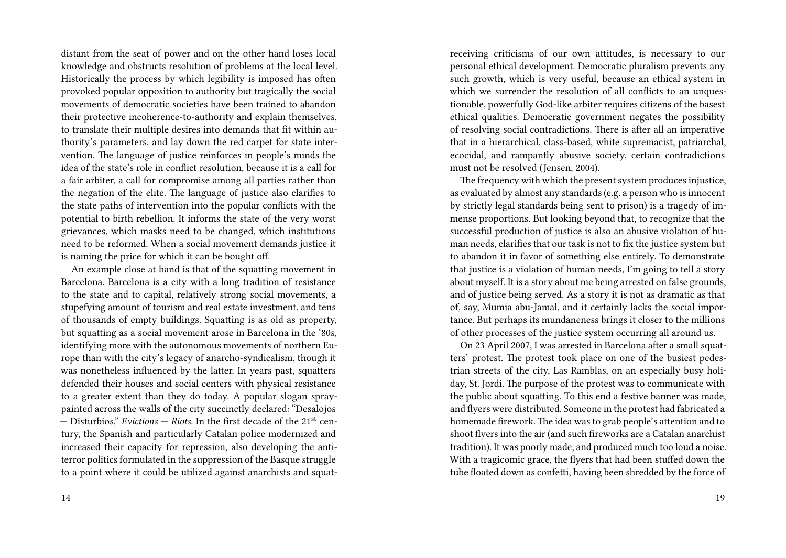distant from the seat of power and on the other hand loses local knowledge and obstructs resolution of problems at the local level. Historically the process by which legibility is imposed has often provoked popular opposition to authority but tragically the social movements of democratic societies have been trained to abandon their protective incoherence-to-authority and explain themselves, to translate their multiple desires into demands that fit within authority's parameters, and lay down the red carpet for state intervention. The language of justice reinforces in people's minds the idea of the state's role in conflict resolution, because it is a call for a fair arbiter, a call for compromise among all parties rather than the negation of the elite. The language of justice also clarifies to the state paths of intervention into the popular conflicts with the potential to birth rebellion. It informs the state of the very worst grievances, which masks need to be changed, which institutions need to be reformed. When a social movement demands justice it is naming the price for which it can be bought off.

An example close at hand is that of the squatting movement in Barcelona. Barcelona is a city with a long tradition of resistance to the state and to capital, relatively strong social movements, a stupefying amount of tourism and real estate investment, and tens of thousands of empty buildings. Squatting is as old as property, but squatting as a social movement arose in Barcelona in the '80s, identifying more with the autonomous movements of northern Europe than with the city's legacy of anarcho-syndicalism, though it was nonetheless influenced by the latter. In years past, squatters defended their houses and social centers with physical resistance to a greater extent than they do today. A popular slogan spraypainted across the walls of the city succinctly declared: "Desalojos — Disturbios," *Evictions — Riots.* In the first decade of the 21st century, the Spanish and particularly Catalan police modernized and increased their capacity for repression, also developing the antiterror politics formulated in the suppression of the Basque struggle to a point where it could be utilized against anarchists and squatreceiving criticisms of our own attitudes, is necessary to our personal ethical development. Democratic pluralism prevents any such growth, which is very useful, because an ethical system in which we surrender the resolution of all conflicts to an unquestionable, powerfully God-like arbiter requires citizens of the basest ethical qualities. Democratic government negates the possibility of resolving social contradictions. There is after all an imperative that in a hierarchical, class-based, white supremacist, patriarchal, ecocidal, and rampantly abusive society, certain contradictions must not be resolved (Jensen, 2004).

The frequency with which the present system produces injustice, as evaluated by almost any standards (e.g. a person who is innocent by strictly legal standards being sent to prison) is a tragedy of immense proportions. But looking beyond that, to recognize that the successful production of justice is also an abusive violation of human needs, clarifies that our task is not to fix the justice system but to abandon it in favor of something else entirely. To demonstrate that justice is a violation of human needs, I'm going to tell a story about myself. It is a story about me being arrested on false grounds, and of justice being served. As a story it is not as dramatic as that of, say, Mumia abu-Jamal, and it certainly lacks the social importance. But perhaps its mundaneness brings it closer to the millions of other processes of the justice system occurring all around us.

On 23 April 2007, I was arrested in Barcelona after a small squatters' protest. The protest took place on one of the busiest pedestrian streets of the city, Las Ramblas, on an especially busy holiday, St. Jordi. The purpose of the protest was to communicate with the public about squatting. To this end a festive banner was made, and flyers were distributed. Someone in the protest had fabricated a homemade firework. The idea was to grab people's attention and to shoot flyers into the air (and such fireworks are a Catalan anarchist tradition). It was poorly made, and produced much too loud a noise. With a tragicomic grace, the flyers that had been stuffed down the tube floated down as confetti, having been shredded by the force of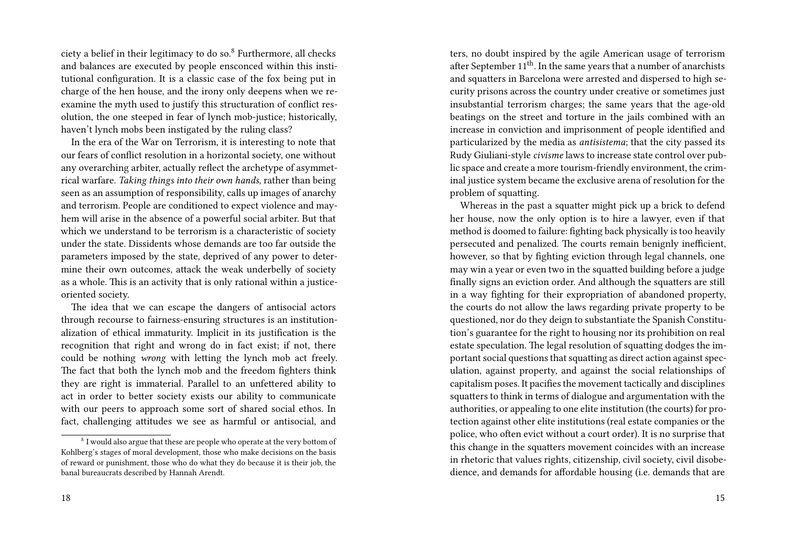ciety a belief in their legitimacy to do so. $8$  Furthermore, all checks and balances are executed by people ensconced within this institutional configuration. It is a classic case of the fox being put in charge of the hen house, and the irony only deepens when we reexamine the myth used to justify this structuration of conflict resolution, the one steeped in fear of lynch mob-justice; historically, haven't lynch mobs been instigated by the ruling class?

In the era of the War on Terrorism, it is interesting to note that our fears of conflict resolution in a horizontal society, one without any overarching arbiter, actually reflect the archetype of asymmetrical warfare. *Taking things into their own hands,* rather than being seen as an assumption of responsibility, calls up images of anarchy and terrorism. People are conditioned to expect violence and mayhem will arise in the absence of a powerful social arbiter. But that which we understand to be terrorism is a characteristic of society under the state. Dissidents whose demands are too far outside the parameters imposed by the state, deprived of any power to determine their own outcomes, attack the weak underbelly of society as a whole. This is an activity that is only rational within a justiceoriented society.

The idea that we can escape the dangers of antisocial actors through recourse to fairness-ensuring structures is an institutionalization of ethical immaturity. Implicit in its justification is the recognition that right and wrong do in fact exist; if not, there could be nothing *wrong* with letting the lynch mob act freely. The fact that both the lynch mob and the freedom fighters think they are right is immaterial. Parallel to an unfettered ability to act in order to better society exists our ability to communicate with our peers to approach some sort of shared social ethos. In fact, challenging attitudes we see as harmful or antisocial, and

ters, no doubt inspired by the agile American usage of terrorism after September  $11<sup>th</sup>$ . In the same years that a number of anarchists and squatters in Barcelona were arrested and dispersed to high security prisons across the country under creative or sometimes just insubstantial terrorism charges; the same years that the age-old beatings on the street and torture in the jails combined with an increase in conviction and imprisonment of people identified and particularized by the media as *antisistema*; that the city passed its Rudy Giuliani-style *civisme* laws to increase state control over public space and create a more tourism-friendly environment, the criminal justice system became the exclusive arena of resolution for the problem of squatting.

Whereas in the past a squatter might pick up a brick to defend her house, now the only option is to hire a lawyer, even if that method is doomed to failure: fighting back physically is too heavily persecuted and penalized. The courts remain benignly inefficient, however, so that by fighting eviction through legal channels, one may win a year or even two in the squatted building before a judge finally signs an eviction order. And although the squatters are still in a way fighting for their expropriation of abandoned property, the courts do not allow the laws regarding private property to be questioned, nor do they deign to substantiate the Spanish Constitution's guarantee for the right to housing nor its prohibition on real estate speculation. The legal resolution of squatting dodges the important social questions that squatting as direct action against speculation, against property, and against the social relationships of capitalism poses. It pacifies the movement tactically and disciplines squatters to think in terms of dialogue and argumentation with the authorities, or appealing to one elite institution (the courts) for protection against other elite institutions (real estate companies or the police, who often evict without a court order). It is no surprise that this change in the squatters movement coincides with an increase in rhetoric that values rights, citizenship, civil society, civil disobedience, and demands for affordable housing (i.e. demands that are

 $8\,$  I would also argue that these are people who operate at the very bottom of Kohlberg's stages of moral development, those who make decisions on the basis of reward or punishment, those who do what they do because it is their job, the banal bureaucrats described by Hannah Arendt.